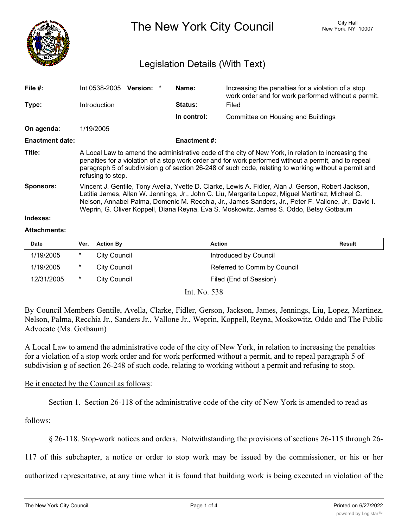

The New York City Council New York, NY 10007

# Legislation Details (With Text)

| File #:                | $Int 0538-2005$ Version:                                                                                                                                                                                                                                                                                                                                                                                 |  |  | Name:               | Increasing the penalties for a violation of a stop<br>work order and for work performed without a permit. |  |  |
|------------------------|----------------------------------------------------------------------------------------------------------------------------------------------------------------------------------------------------------------------------------------------------------------------------------------------------------------------------------------------------------------------------------------------------------|--|--|---------------------|-----------------------------------------------------------------------------------------------------------|--|--|
| Type:                  | <b>Introduction</b>                                                                                                                                                                                                                                                                                                                                                                                      |  |  | <b>Status:</b>      | Filed                                                                                                     |  |  |
|                        |                                                                                                                                                                                                                                                                                                                                                                                                          |  |  | In control:         | Committee on Housing and Buildings                                                                        |  |  |
| On agenda:             | 1/19/2005                                                                                                                                                                                                                                                                                                                                                                                                |  |  |                     |                                                                                                           |  |  |
| <b>Enactment date:</b> |                                                                                                                                                                                                                                                                                                                                                                                                          |  |  | <b>Enactment #:</b> |                                                                                                           |  |  |
| Title:                 | A Local Law to amend the administrative code of the city of New York, in relation to increasing the<br>penalties for a violation of a stop work order and for work performed without a permit, and to repeal<br>paragraph 5 of subdivision g of section 26-248 of such code, relating to working without a permit and<br>refusing to stop.                                                               |  |  |                     |                                                                                                           |  |  |
| <b>Sponsors:</b>       | Vincent J. Gentile, Tony Avella, Yvette D. Clarke, Lewis A. Fidler, Alan J. Gerson, Robert Jackson,<br>Letitia James, Allan W. Jennings, Jr., John C. Liu, Margarita Lopez, Miguel Martinez, Michael C.<br>Nelson, Annabel Palma, Domenic M. Recchia, Jr., James Sanders, Jr., Peter F. Vallone, Jr., David I.<br>Weprin, G. Oliver Koppell, Diana Reyna, Eva S. Moskowitz, James S. Oddo, Betsy Gotbaum |  |  |                     |                                                                                                           |  |  |
| Indexes:               |                                                                                                                                                                                                                                                                                                                                                                                                          |  |  |                     |                                                                                                           |  |  |

#### **Attachments:**

| <b>Date</b> | Ver.   | <b>Action By</b> | <b>Action</b>               | Result |
|-------------|--------|------------------|-----------------------------|--------|
| 1/19/2005   | $\ast$ | City Council     | Introduced by Council       |        |
| 1/19/2005   | $\ast$ | City Council     | Referred to Comm by Council |        |
| 12/31/2005  | $\ast$ | City Council     | Filed (End of Session)      |        |

Int. No. 538

By Council Members Gentile, Avella, Clarke, Fidler, Gerson, Jackson, James, Jennings, Liu, Lopez, Martinez, Nelson, Palma, Recchia Jr., Sanders Jr., Vallone Jr., Weprin, Koppell, Reyna, Moskowitz, Oddo and The Public Advocate (Ms. Gotbaum)

A Local Law to amend the administrative code of the city of New York, in relation to increasing the penalties for a violation of a stop work order and for work performed without a permit, and to repeal paragraph 5 of subdivision g of section 26-248 of such code, relating to working without a permit and refusing to stop.

## Be it enacted by the Council as follows:

Section 1. Section 26-118 of the administrative code of the city of New York is amended to read as

follows:

§ 26-118. Stop-work notices and orders. Notwithstanding the provisions of sections 26-115 through 26-

117 of this subchapter, a notice or order to stop work may be issued by the commissioner, or his or her

authorized representative, at any time when it is found that building work is being executed in violation of the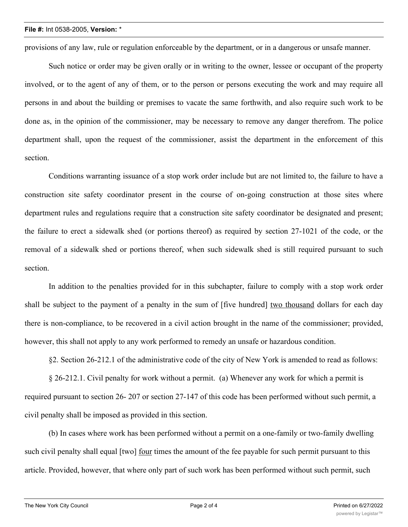provisions of any law, rule or regulation enforceable by the department, or in a dangerous or unsafe manner.

Such notice or order may be given orally or in writing to the owner, lessee or occupant of the property involved, or to the agent of any of them, or to the person or persons executing the work and may require all persons in and about the building or premises to vacate the same forthwith, and also require such work to be done as, in the opinion of the commissioner, may be necessary to remove any danger therefrom. The police department shall, upon the request of the commissioner, assist the department in the enforcement of this section.

Conditions warranting issuance of a stop work order include but are not limited to, the failure to have a construction site safety coordinator present in the course of on-going construction at those sites where department rules and regulations require that a construction site safety coordinator be designated and present; the failure to erect a sidewalk shed (or portions thereof) as required by section 27-1021 of the code, or the removal of a sidewalk shed or portions thereof, when such sidewalk shed is still required pursuant to such section.

In addition to the penalties provided for in this subchapter, failure to comply with a stop work order shall be subject to the payment of a penalty in the sum of [five hundred] two thousand dollars for each day there is non-compliance, to be recovered in a civil action brought in the name of the commissioner; provided, however, this shall not apply to any work performed to remedy an unsafe or hazardous condition.

§2. Section 26-212.1 of the administrative code of the city of New York is amended to read as follows:

§ 26-212.1. Civil penalty for work without a permit. (a) Whenever any work for which a permit is required pursuant to section 26- 207 or section 27-147 of this code has been performed without such permit, a civil penalty shall be imposed as provided in this section.

(b) In cases where work has been performed without a permit on a one-family or two-family dwelling such civil penalty shall equal [two] four times the amount of the fee payable for such permit pursuant to this article. Provided, however, that where only part of such work has been performed without such permit, such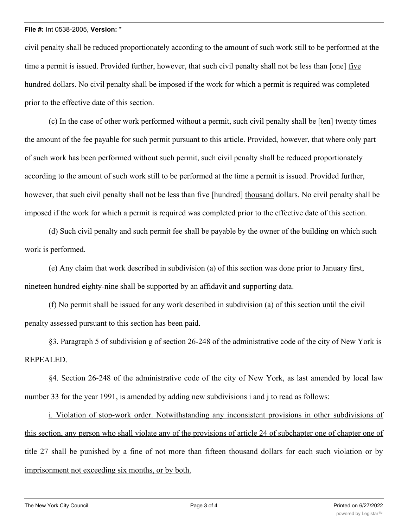### **File #:** Int 0538-2005, **Version:** \*

civil penalty shall be reduced proportionately according to the amount of such work still to be performed at the time a permit is issued. Provided further, however, that such civil penalty shall not be less than [one] five hundred dollars. No civil penalty shall be imposed if the work for which a permit is required was completed prior to the effective date of this section.

(c) In the case of other work performed without a permit, such civil penalty shall be [ten] twenty times the amount of the fee payable for such permit pursuant to this article. Provided, however, that where only part of such work has been performed without such permit, such civil penalty shall be reduced proportionately according to the amount of such work still to be performed at the time a permit is issued. Provided further, however, that such civil penalty shall not be less than five [hundred] thousand dollars. No civil penalty shall be imposed if the work for which a permit is required was completed prior to the effective date of this section.

(d) Such civil penalty and such permit fee shall be payable by the owner of the building on which such work is performed.

(e) Any claim that work described in subdivision (a) of this section was done prior to January first, nineteen hundred eighty-nine shall be supported by an affidavit and supporting data.

(f) No permit shall be issued for any work described in subdivision (a) of this section until the civil penalty assessed pursuant to this section has been paid.

§3. Paragraph 5 of subdivision g of section 26-248 of the administrative code of the city of New York is REPEALED.

§4. Section 26-248 of the administrative code of the city of New York, as last amended by local law number 33 for the year 1991, is amended by adding new subdivisions i and j to read as follows:

i. Violation of stop-work order. Notwithstanding any inconsistent provisions in other subdivisions of this section, any person who shall violate any of the provisions of article 24 of subchapter one of chapter one of title 27 shall be punished by a fine of not more than fifteen thousand dollars for each such violation or by imprisonment not exceeding six months, or by both.